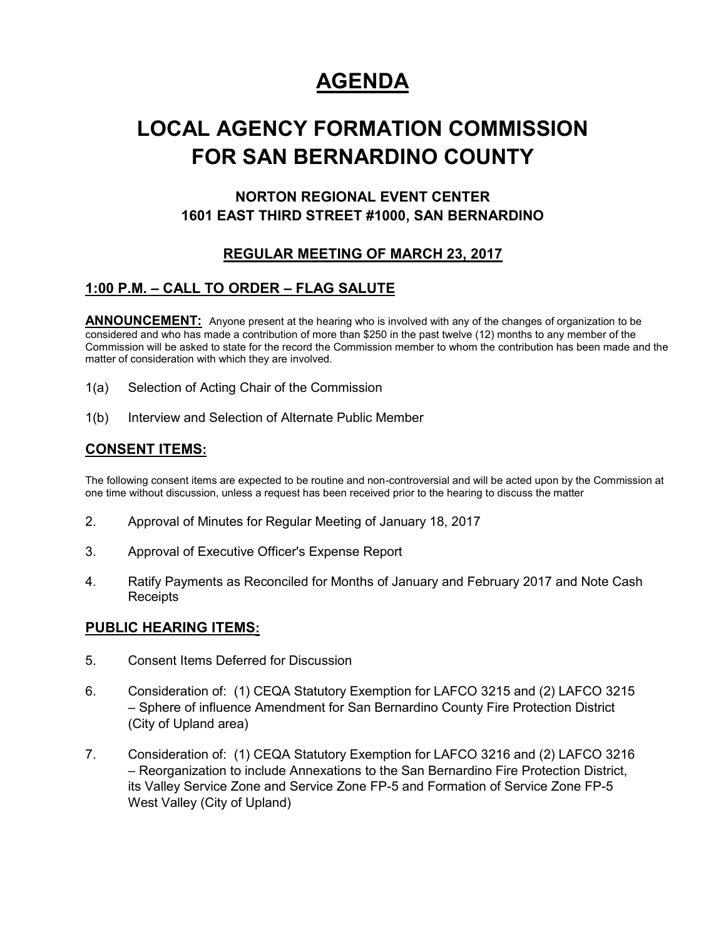# **AGENDA**

# **LOCAL AGENCY FORMATION COMMISSION FOR SAN BERNARDINO COUNTY**

## **NORTON REGIONAL EVENT CENTER 1601 EAST THIRD STREET #1000, SAN BERNARDINO**

## **REGULAR MEETING OF MARCH 23, 2017**

## **1:00 P.M. – CALL TO ORDER – FLAG SALUTE**

**ANNOUNCEMENT:** Anyone present at the hearing who is involved with any of the changes of organization to be considered and who has made a contribution of more than \$250 in the past twelve (12) months to any member of the Commission will be asked to state for the record the Commission member to whom the contribution has been made and the matter of consideration with which they are involved.

- 1(a) Selection of Acting Chair of the Commission
- 1(b) Interview and Selection of Alternate Public Member

## **CONSENT ITEMS:**

The following consent items are expected to be routine and non-controversial and will be acted upon by the Commission at one time without discussion, unless a request has been received prior to the hearing to discuss the matter

- 2. Approval of Minutes for Regular Meeting of January 18, 2017
- 3. Approval of Executive Officer's Expense Report
- 4. Ratify Payments as Reconciled for Months of January and February 2017 and Note Cash **Receipts**

### **PUBLIC HEARING ITEMS:**

- 5. Consent Items Deferred for Discussion
- 6. Consideration of: (1) CEQA Statutory Exemption for LAFCO 3215 and (2) LAFCO 3215 – Sphere of influence Amendment for San Bernardino County Fire Protection District (City of Upland area)
- 7. Consideration of: (1) CEQA Statutory Exemption for LAFCO 3216 and (2) LAFCO 3216 – Reorganization to include Annexations to the San Bernardino Fire Protection District, its Valley Service Zone and Service Zone FP-5 and Formation of Service Zone FP-5 West Valley (City of Upland)